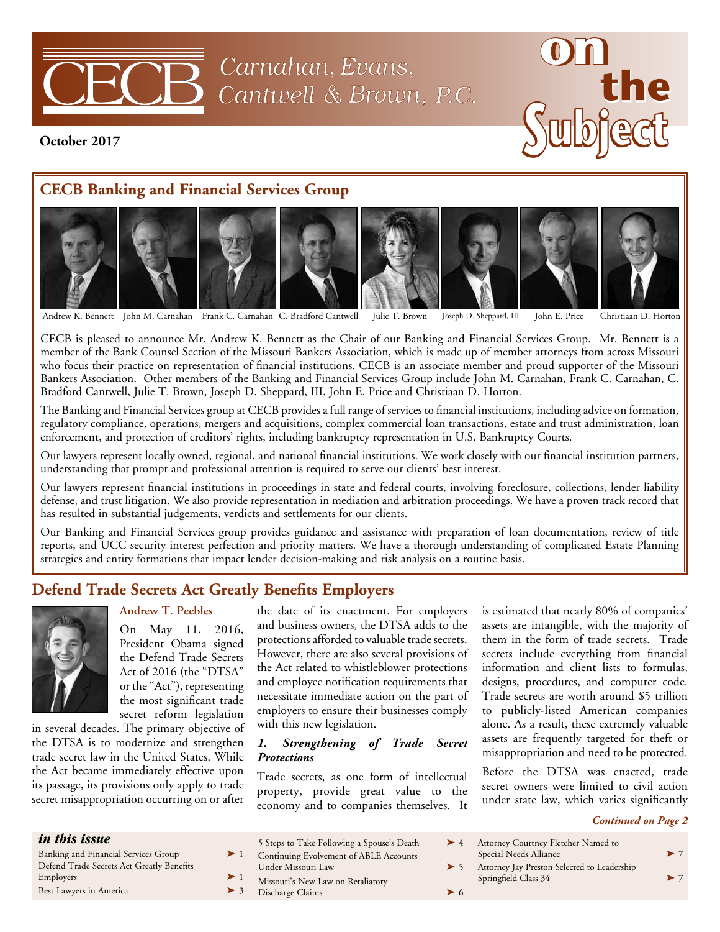

Carnahan, Evans, Cantwell & Brown, P.C.



**October 2017**

# **CECB Banking and Financial Services Group**



Andrew K. Bennett John M. Carnahan Frank C. Carnahan C. Bradford Cantwell Julie T. Brown Joseph D. Sheppard, III John E. Price Christiaan D. Horton

CECB is pleased to announce Mr. Andrew K. Bennett as the Chair of our Banking and Financial Services Group. Mr. Bennett is a member of the Bank Counsel Section of the Missouri Bankers Association, which is made up of member attorneys from across Missouri who focus their practice on representation of financial institutions. CECB is an associate member and proud supporter of the Missouri Bankers Association. Other members of the Banking and Financial Services Group include John M. Carnahan, Frank C. Carnahan, C. Bradford Cantwell, Julie T. Brown, Joseph D. Sheppard, III, John E. Price and Christiaan D. Horton.

The Banking and Financial Services group at CECB provides a full range of services to financial institutions, including advice on formation, regulatory compliance, operations, mergers and acquisitions, complex commercial loan transactions, estate and trust administration, loan enforcement, and protection of creditors' rights, including bankruptcy representation in U.S. Bankruptcy Courts.

Our lawyers represent locally owned, regional, and national financial institutions. We work closely with our financial institution partners, understanding that prompt and professional attention is required to serve our clients' best interest.

Our lawyers represent financial institutions in proceedings in state and federal courts, involving foreclosure, collections, lender liability defense, and trust litigation. We also provide representation in mediation and arbitration proceedings. We have a proven track record that has resulted in substantial judgements, verdicts and settlements for our clients.

Our Banking and Financial Services group provides guidance and assistance with preparation of loan documentation, review of title reports, and UCC security interest perfection and priority matters. We have a thorough understanding of complicated Estate Planning strategies and entity formations that impact lender decision-making and risk analysis on a routine basis.

# **Defend Trade Secrets Act Greatly Benefits Employers**



### **Andrew T. Peebles**

On May 11, 2016, President Obama signed the Defend Trade Secrets Act of 2016 (the "DTSA" or the "Act"), representing the most significant trade secret reform legislation

in several decades. The primary objective of the DTSA is to modernize and strengthen trade secret law in the United States. While the Act became immediately effective upon its passage, its provisions only apply to trade secret misappropriation occurring on or after

the date of its enactment. For employers and business owners, the DTSA adds to the protections afforded to valuable trade secrets. However, there are also several provisions of the Act related to whistleblower protections and employee notification requirements that necessitate immediate action on the part of employers to ensure their businesses comply with this new legislation.

### *1. Strengthening of Trade Secret Protections*

Trade secrets, as one form of intellectual property, provide great value to the economy and to companies themselves. It is estimated that nearly 80% of companies' assets are intangible, with the majority of them in the form of trade secrets. Trade secrets include everything from financial information and client lists to formulas, designs, procedures, and computer code. Trade secrets are worth around \$5 trillion to publicly-listed American companies alone. As a result, these extremely valuable assets are frequently targeted for theft or misappropriation and need to be protected.

Before the DTSA was enacted, trade secret owners were limited to civil action under state law, which varies significantly

#### *Continued on Page 2*

| <i>in this issue</i>                      | 5 Steps to Take Following a Spouse's Death | Attorney Courtney Fletcher Named to         |          |
|-------------------------------------------|--------------------------------------------|---------------------------------------------|----------|
| Banking and Financial Services Group      | Continuing Evolvement of ABLE Accounts     | Special Needs Alliance                      | $\geq 7$ |
| Defend Trade Secrets Act Greatly Benefits | Under Missouri Law                         | Attorney Jay Preston Selected to Leadership |          |
| Employers                                 | Missouri's New Law on Retaliatory          | Springfield Class 34                        | $\geq 7$ |
| Best Lawyers in America                   | Discharge Claims                           |                                             |          |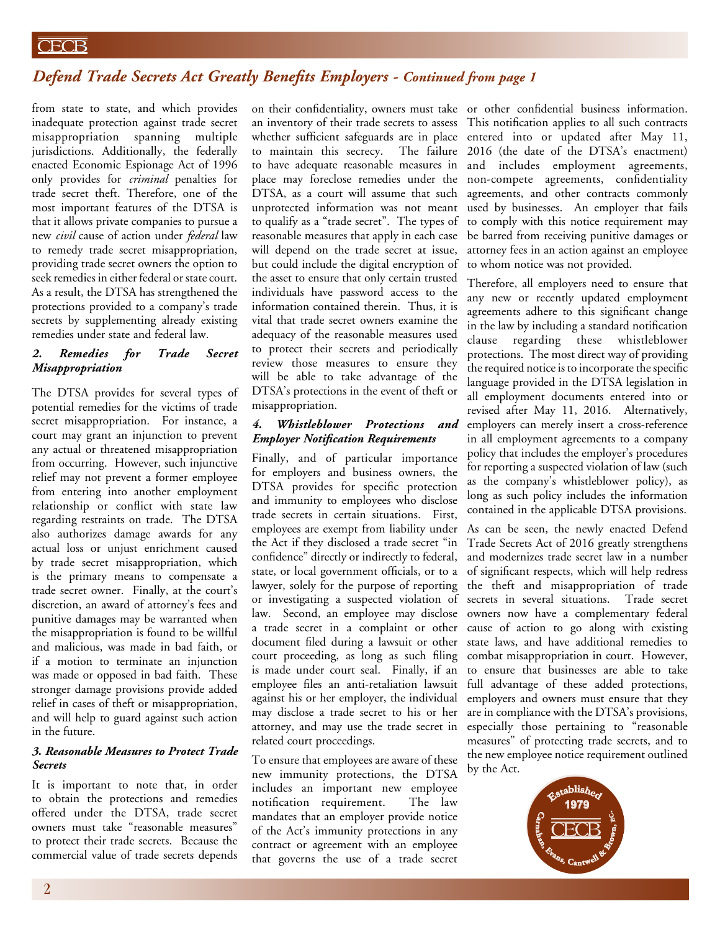## **CECB**

## *Defend Trade Secrets Act Greatly Benefits Employers - Continued from page 1*

from state to state, and which provides inadequate protection against trade secret misappropriation spanning multiple jurisdictions. Additionally, the federally enacted Economic Espionage Act of 1996 only provides for *criminal* penalties for trade secret theft. Therefore, one of the most important features of the DTSA is that it allows private companies to pursue a new *civil* cause of action under *federal* law to remedy trade secret misappropriation, providing trade secret owners the option to seek remedies in either federal or state court. As a result, the DTSA has strengthened the protections provided to a company's trade secrets by supplementing already existing remedies under state and federal law.

### *2. Remedies for Trade Secret Misappropriation*

The DTSA provides for several types of potential remedies for the victims of trade secret misappropriation. For instance, a court may grant an injunction to prevent any actual or threatened misappropriation from occurring. However, such injunctive relief may not prevent a former employee from entering into another employment relationship or conflict with state law regarding restraints on trade. The DTSA also authorizes damage awards for any actual loss or unjust enrichment caused by trade secret misappropriation, which is the primary means to compensate a trade secret owner. Finally, at the court's discretion, an award of attorney's fees and punitive damages may be warranted when the misappropriation is found to be willful and malicious, was made in bad faith, or if a motion to terminate an injunction was made or opposed in bad faith. These stronger damage provisions provide added relief in cases of theft or misappropriation, and will help to guard against such action in the future.

### *3. Reasonable Measures to Protect Trade Secrets*

It is important to note that, in order to obtain the protections and remedies offered under the DTSA, trade secret owners must take "reasonable measures" to protect their trade secrets. Because the commercial value of trade secrets depends an inventory of their trade secrets to assess whether sufficient safeguards are in place to maintain this secrecy. The failure to have adequate reasonable measures in place may foreclose remedies under the DTSA, as a court will assume that such unprotected information was not meant to qualify as a "trade secret". The types of reasonable measures that apply in each case will depend on the trade secret at issue, but could include the digital encryption of the asset to ensure that only certain trusted individuals have password access to the information contained therein. Thus, it is vital that trade secret owners examine the adequacy of the reasonable measures used to protect their secrets and periodically review those measures to ensure they will be able to take advantage of the DTSA's protections in the event of theft or misappropriation.

### *4. Whistleblower Protections and Employer Notification Requirements*

Finally, and of particular importance for employers and business owners, the DTSA provides for specific protection and immunity to employees who disclose trade secrets in certain situations. First, employees are exempt from liability under the Act if they disclosed a trade secret "in confidence" directly or indirectly to federal, state, or local government officials, or to a lawyer, solely for the purpose of reporting or investigating a suspected violation of law. Second, an employee may disclose a trade secret in a complaint or other document filed during a lawsuit or other court proceeding, as long as such filing is made under court seal. Finally, if an employee files an anti-retaliation lawsuit against his or her employer, the individual may disclose a trade secret to his or her attorney, and may use the trade secret in related court proceedings.

To ensure that employees are aware of these new immunity protections, the DTSA includes an important new employee notification requirement. The law mandates that an employer provide notice of the Act's immunity protections in any contract or agreement with an employee that governs the use of a trade secret

on their confidentiality, owners must take or other confidential business information. This notification applies to all such contracts entered into or updated after May 11, 2016 (the date of the DTSA's enactment) and includes employment agreements, non-compete agreements, confidentiality agreements, and other contracts commonly used by businesses. An employer that fails to comply with this notice requirement may be barred from receiving punitive damages or attorney fees in an action against an employee to whom notice was not provided.

> Therefore, all employers need to ensure that any new or recently updated employment agreements adhere to this significant change in the law by including a standard notification clause regarding these whistleblower protections. The most direct way of providing the required notice is to incorporate the specific language provided in the DTSA legislation in all employment documents entered into or revised after May 11, 2016. Alternatively, employers can merely insert a cross-reference in all employment agreements to a company policy that includes the employer's procedures for reporting a suspected violation of law (such as the company's whistleblower policy), as long as such policy includes the information contained in the applicable DTSA provisions.

> As can be seen, the newly enacted Defend Trade Secrets Act of 2016 greatly strengthens and modernizes trade secret law in a number of significant respects, which will help redress the theft and misappropriation of trade secrets in several situations. Trade secret owners now have a complementary federal cause of action to go along with existing state laws, and have additional remedies to combat misappropriation in court. However, to ensure that businesses are able to take full advantage of these added protections, employers and owners must ensure that they are in compliance with the DTSA's provisions, especially those pertaining to "reasonable measures" of protecting trade secrets, and to the new employee notice requirement outlined by the Act.

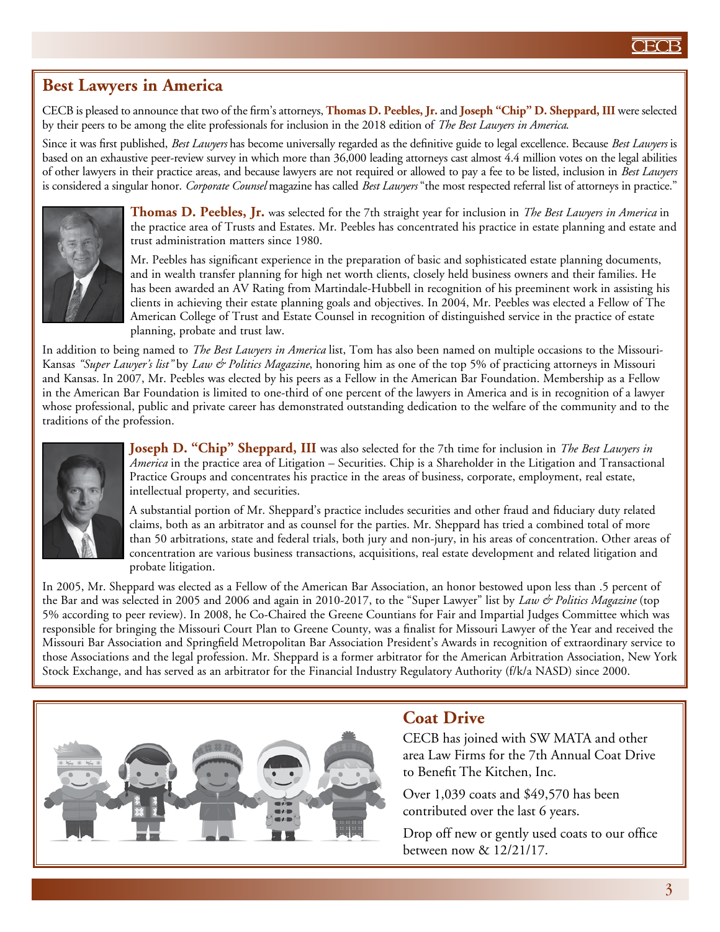# **Best Lawyers in America**

CECB is pleased to announce that two of the firm's attorneys, **Thomas D. Peebles, Jr.** and **Joseph "Chip" D. Sheppard, III** were selected by their peers to be among the elite professionals for inclusion in the 2018 edition of *The Best Lawyers in America*.

Since it was first published, *Best Lawyers* has become universally regarded as the definitive guide to legal excellence. Because *Best Lawyers* is based on an exhaustive peer-review survey in which more than 36,000 leading attorneys cast almost 4.4 million votes on the legal abilities of other lawyers in their practice areas, and because lawyers are not required or allowed to pay a fee to be listed, inclusion in *Best Lawyers* is considered a singular honor. *Corporate Counsel* magazine has called *Best Lawyers* "the most respected referral list of attorneys in practice."



**Thomas D. Peebles, Jr.** was selected for the 7th straight year for inclusion in *The Best Lawyers in America* in the practice area of Trusts and Estates. Mr. Peebles has concentrated his practice in estate planning and estate and trust administration matters since 1980.

Mr. Peebles has significant experience in the preparation of basic and sophisticated estate planning documents, and in wealth transfer planning for high net worth clients, closely held business owners and their families. He has been awarded an AV Rating from Martindale-Hubbell in recognition of his preeminent work in assisting his clients in achieving their estate planning goals and objectives. In 2004, Mr. Peebles was elected a Fellow of The American College of Trust and Estate Counsel in recognition of distinguished service in the practice of estate planning, probate and trust law.

In addition to being named to *The Best Lawyers in America* list, Tom has also been named on multiple occasions to the Missouri-Kansas *"Super Lawyer's list"* by *Law & Politics Magazine*, honoring him as one of the top 5% of practicing attorneys in Missouri and Kansas. In 2007, Mr. Peebles was elected by his peers as a Fellow in the American Bar Foundation. Membership as a Fellow in the American Bar Foundation is limited to one-third of one percent of the lawyers in America and is in recognition of a lawyer whose professional, public and private career has demonstrated outstanding dedication to the welfare of the community and to the traditions of the profession.



**Joseph D. "Chip" Sheppard, III** was also selected for the 7th time for inclusion in *The Best Lawyers in America* in the practice area of Litigation – Securities. Chip is a Shareholder in the Litigation and Transactional Practice Groups and concentrates his practice in the areas of business, corporate, employment, real estate, intellectual property, and securities.

A substantial portion of Mr. Sheppard's practice includes securities and other fraud and fiduciary duty related claims, both as an arbitrator and as counsel for the parties. Mr. Sheppard has tried a combined total of more than 50 arbitrations, state and federal trials, both jury and non-jury, in his areas of concentration. Other areas of concentration are various business transactions, acquisitions, real estate development and related litigation and probate litigation.

In 2005, Mr. Sheppard was elected as a Fellow of the American Bar Association, an honor bestowed upon less than .5 percent of the Bar and was selected in 2005 and 2006 and again in 2010-2017, to the "Super Lawyer" list by *Law & Politics Magazine* (top 5% according to peer review). In 2008, he Co-Chaired the Greene Countians for Fair and Impartial Judges Committee which was responsible for bringing the Missouri Court Plan to Greene County, was a finalist for Missouri Lawyer of the Year and received the Missouri Bar Association and Springfield Metropolitan Bar Association President's Awards in recognition of extraordinary service to those Associations and the legal profession. Mr. Sheppard is a former arbitrator for the American Arbitration Association, New York Stock Exchange, and has served as an arbitrator for the Financial Industry Regulatory Authority (f/k/a NASD) since 2000.



# **Coat Drive**

CECB has joined with SW MATA and other area Law Firms for the 7th Annual Coat Drive to Benefit The Kitchen, Inc.

Over 1,039 coats and \$49,570 has been contributed over the last 6 years.

Drop off new or gently used coats to our office between now & 12/21/17.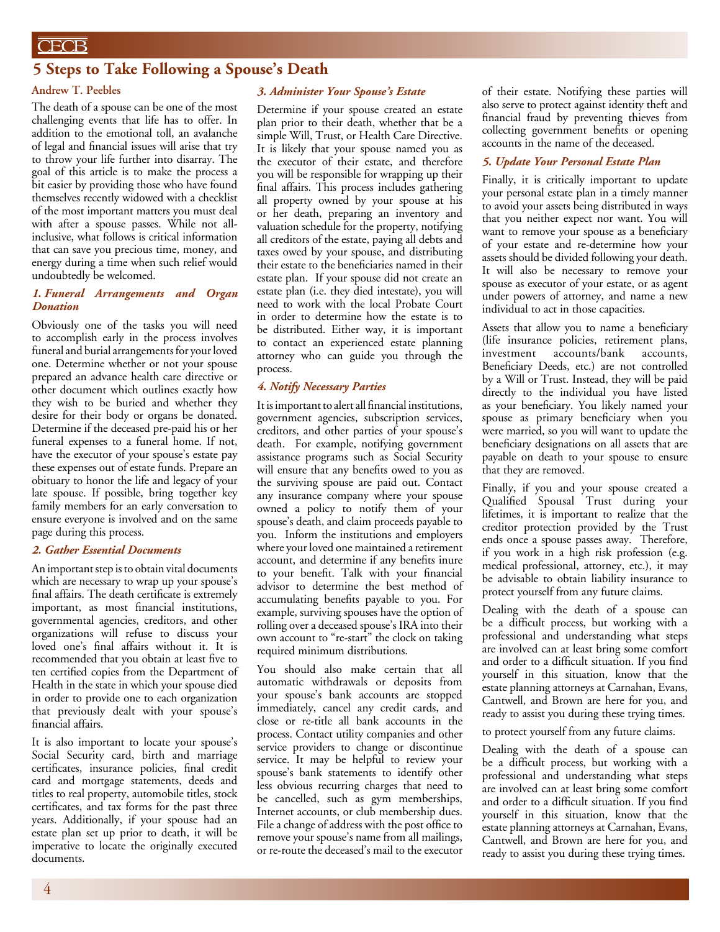## **CECB**

## **5 Steps to Take Following a Spouse's Death**

#### **Andrew T. Peebles**

The death of a spouse can be one of the most challenging events that life has to offer. In addition to the emotional toll, an avalanche of legal and financial issues will arise that try to throw your life further into disarray. The goal of this article is to make the process a bit easier by providing those who have found themselves recently widowed with a checklist of the most important matters you must deal with after a spouse passes. While not allinclusive, what follows is critical information that can save you precious time, money, and energy during a time when such relief would undoubtedly be welcomed.

#### *1. Funeral Arrangements and Organ Donation*

Obviously one of the tasks you will need to accomplish early in the process involves funeral and burial arrangements for your loved one. Determine whether or not your spouse prepared an advance health care directive or other document which outlines exactly how they wish to be buried and whether they desire for their body or organs be donated. Determine if the deceased pre-paid his or her funeral expenses to a funeral home. If not, have the executor of your spouse's estate pay these expenses out of estate funds. Prepare an obituary to honor the life and legacy of your late spouse. If possible, bring together key family members for an early conversation to ensure everyone is involved and on the same page during this process.

#### *2. Gather Essential Documents*

An important step is to obtain vital documents which are necessary to wrap up your spouse's final affairs. The death certificate is extremely important, as most financial institutions, governmental agencies, creditors, and other organizations will refuse to discuss your loved one's final affairs without it. It is recommended that you obtain at least five to ten certified copies from the Department of Health in the state in which your spouse died in order to provide one to each organization that previously dealt with your spouse's financial affairs.

It is also important to locate your spouse's Social Security card, birth and marriage certificates, insurance policies, final credit card and mortgage statements, deeds and titles to real property, automobile titles, stock certificates, and tax forms for the past three years. Additionally, if your spouse had an estate plan set up prior to death, it will be imperative to locate the originally executed documents.

#### *3. Administer Your Spouse's Estate*

Determine if your spouse created an estate plan prior to their death, whether that be a simple Will, Trust, or Health Care Directive. It is likely that your spouse named you as the executor of their estate, and therefore you will be responsible for wrapping up their final affairs. This process includes gathering all property owned by your spouse at his or her death, preparing an inventory and valuation schedule for the property, notifying all creditors of the estate, paying all debts and taxes owed by your spouse, and distributing their estate to the beneficiaries named in their estate plan. If your spouse did not create an estate plan (i.e. they died intestate), you will need to work with the local Probate Court in order to determine how the estate is to be distributed. Either way, it is important to contact an experienced estate planning attorney who can guide you through the process.

#### *4. Notify Necessary Parties*

It is important to alert all financial institutions, government agencies, subscription services, creditors, and other parties of your spouse's death. For example, notifying government assistance programs such as Social Security will ensure that any benefits owed to you as the surviving spouse are paid out. Contact any insurance company where your spouse owned a policy to notify them of your spouse's death, and claim proceeds payable to you. Inform the institutions and employers where your loved one maintained a retirement account, and determine if any benefits inure to your benefit. Talk with your financial advisor to determine the best method of accumulating benefits payable to you. For example, surviving spouses have the option of rolling over a deceased spouse's IRA into their own account to "re-start" the clock on taking required minimum distributions.

You should also make certain that all automatic withdrawals or deposits from your spouse's bank accounts are stopped immediately, cancel any credit cards, and close or re-title all bank accounts in the process. Contact utility companies and other service providers to change or discontinue service. It may be helpful to review your spouse's bank statements to identify other less obvious recurring charges that need to be cancelled, such as gym memberships, Internet accounts, or club membership dues. File a change of address with the post office to remove your spouse's name from all mailings, or re-route the deceased's mail to the executor of their estate. Notifying these parties will also serve to protect against identity theft and financial fraud by preventing thieves from collecting government benefits or opening accounts in the name of the deceased.

#### *5. Update Your Personal Estate Plan*

Finally, it is critically important to update your personal estate plan in a timely manner to avoid your assets being distributed in ways that you neither expect nor want. You will want to remove your spouse as a beneficiary of your estate and re-determine how your assets should be divided following your death. It will also be necessary to remove your spouse as executor of your estate, or as agent under powers of attorney, and name a new individual to act in those capacities.

Assets that allow you to name a beneficiary (life insurance policies, retirement plans, investment accounts/bank accounts, Beneficiary Deeds, etc.) are not controlled by a Will or Trust. Instead, they will be paid directly to the individual you have listed as your beneficiary. You likely named your spouse as primary beneficiary when you were married, so you will want to update the beneficiary designations on all assets that are payable on death to your spouse to ensure that they are removed.

Finally, if you and your spouse created a Qualified Spousal Trust during your lifetimes, it is important to realize that the creditor protection provided by the Trust ends once a spouse passes away. Therefore, if you work in a high risk profession (e.g. medical professional, attorney, etc.), it may be advisable to obtain liability insurance to protect yourself from any future claims.

Dealing with the death of a spouse can be a difficult process, but working with a professional and understanding what steps are involved can at least bring some comfort and order to a difficult situation. If you find yourself in this situation, know that the estate planning attorneys at Carnahan, Evans, Cantwell, and Brown are here for you, and ready to assist you during these trying times.

to protect yourself from any future claims.

Dealing with the death of a spouse can be a difficult process, but working with a professional and understanding what steps are involved can at least bring some comfort and order to a difficult situation. If you find yourself in this situation, know that the estate planning attorneys at Carnahan, Evans, Cantwell, and Brown are here for you, and ready to assist you during these trying times.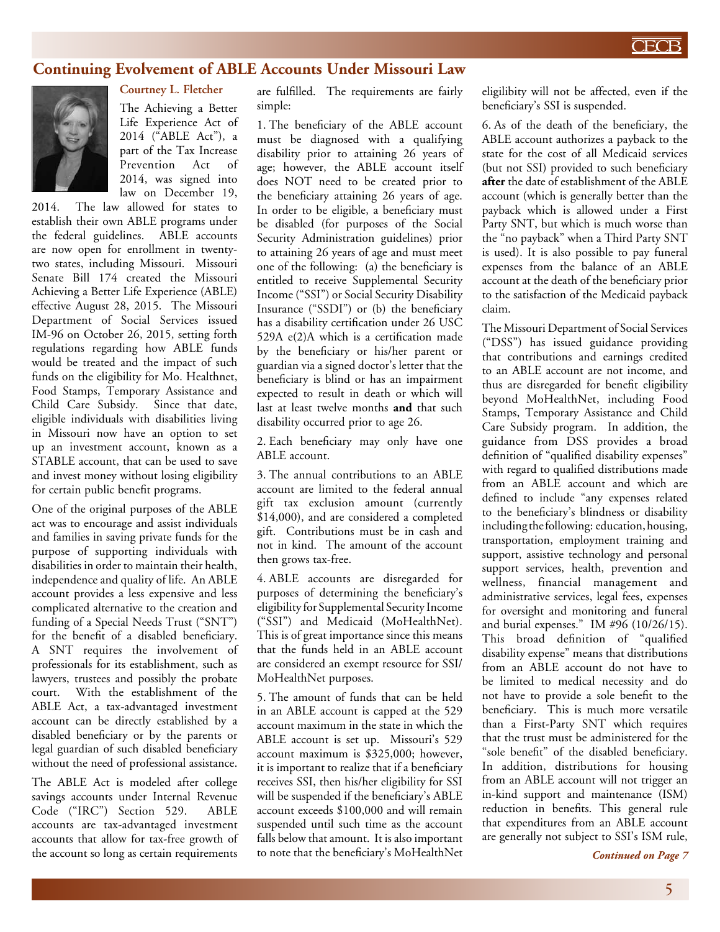## **Continuing Evolvement of ABLE Accounts Under Missouri Law**



### **Courtney L. Fletcher**

The Achieving a Better Life Experience Act of 2014 ("ABLE Act"), a part of the Tax Increase Prevention Act of 2014, was signed into law on December 19,

2014. The law allowed for states to establish their own ABLE programs under the federal guidelines. ABLE accounts are now open for enrollment in twentytwo states, including Missouri. Missouri Senate Bill 174 created the Missouri Achieving a Better Life Experience (ABLE) effective August 28, 2015. The Missouri Department of Social Services issued IM-96 on October 26, 2015, setting forth regulations regarding how ABLE funds would be treated and the impact of such funds on the eligibility for Mo. Healthnet, Food Stamps, Temporary Assistance and Child Care Subsidy. Since that date, eligible individuals with disabilities living in Missouri now have an option to set up an investment account, known as a STABLE account, that can be used to save and invest money without losing eligibility for certain public benefit programs.

One of the original purposes of the ABLE act was to encourage and assist individuals and families in saving private funds for the purpose of supporting individuals with disabilities in order to maintain their health, independence and quality of life. An ABLE account provides a less expensive and less complicated alternative to the creation and funding of a Special Needs Trust ("SNT") for the benefit of a disabled beneficiary. A SNT requires the involvement of professionals for its establishment, such as lawyers, trustees and possibly the probate court. With the establishment of the ABLE Act, a tax-advantaged investment account can be directly established by a disabled beneficiary or by the parents or legal guardian of such disabled beneficiary without the need of professional assistance.

The ABLE Act is modeled after college savings accounts under Internal Revenue Code ("IRC") Section 529. ABLE accounts are tax-advantaged investment accounts that allow for tax-free growth of the account so long as certain requirements

are fulfilled. The requirements are fairly simple:

1. The beneficiary of the ABLE account must be diagnosed with a qualifying disability prior to attaining 26 years of age; however, the ABLE account itself does NOT need to be created prior to the beneficiary attaining 26 years of age. In order to be eligible, a beneficiary must be disabled (for purposes of the Social Security Administration guidelines) prior to attaining 26 years of age and must meet one of the following: (a) the beneficiary is entitled to receive Supplemental Security Income ("SSI") or Social Security Disability Insurance ("SSDI") or (b) the beneficiary has a disability certification under 26 USC 529A e(2)A which is a certification made by the beneficiary or his/her parent or guardian via a signed doctor's letter that the beneficiary is blind or has an impairment expected to result in death or which will last at least twelve months **and** that such disability occurred prior to age 26.

2. Each beneficiary may only have one ABLE account.

3. The annual contributions to an ABLE account are limited to the federal annual gift tax exclusion amount (currently \$14,000), and are considered a completed gift. Contributions must be in cash and not in kind. The amount of the account then grows tax-free.

4. ABLE accounts are disregarded for purposes of determining the beneficiary's eligibility for Supplemental Security Income ("SSI") and Medicaid (MoHealthNet). This is of great importance since this means that the funds held in an ABLE account are considered an exempt resource for SSI/ MoHealthNet purposes.

5. The amount of funds that can be held in an ABLE account is capped at the 529 account maximum in the state in which the ABLE account is set up. Missouri's 529 account maximum is \$325,000; however, it is important to realize that if a beneficiary receives SSI, then his/her eligibility for SSI will be suspended if the beneficiary's ABLE account exceeds \$100,000 and will remain suspended until such time as the account falls below that amount. It is also important to note that the beneficiary's MoHealthNet

eligilibity will not be affected, even if the beneficiary's SSI is suspended.

6. As of the death of the beneficiary, the ABLE account authorizes a payback to the state for the cost of all Medicaid services (but not SSI) provided to such beneficiary **after** the date of establishment of the ABLE account (which is generally better than the payback which is allowed under a First Party SNT, but which is much worse than the "no payback" when a Third Party SNT is used). It is also possible to pay funeral expenses from the balance of an ABLE account at the death of the beneficiary prior to the satisfaction of the Medicaid payback claim.

The Missouri Department of Social Services ("DSS") has issued guidance providing that contributions and earnings credited to an ABLE account are not income, and thus are disregarded for benefit eligibility beyond MoHealthNet, including Food Stamps, Temporary Assistance and Child Care Subsidy program. In addition, the guidance from DSS provides a broad definition of "qualified disability expenses" with regard to qualified distributions made from an ABLE account and which are defined to include "any expenses related to the beneficiary's blindness or disability including the following: education, housing, transportation, employment training and support, assistive technology and personal support services, health, prevention and wellness, financial management and administrative services, legal fees, expenses for oversight and monitoring and funeral and burial expenses." IM #96 (10/26/15). This broad definition of "qualified disability expense" means that distributions from an ABLE account do not have to be limited to medical necessity and do not have to provide a sole benefit to the beneficiary. This is much more versatile than a First-Party SNT which requires that the trust must be administered for the "sole benefit" of the disabled beneficiary. In addition, distributions for housing from an ABLE account will not trigger an in-kind support and maintenance (ISM) reduction in benefits. This general rule that expenditures from an ABLE account are generally not subject to SSI's ISM rule,

*Continued on Page 7*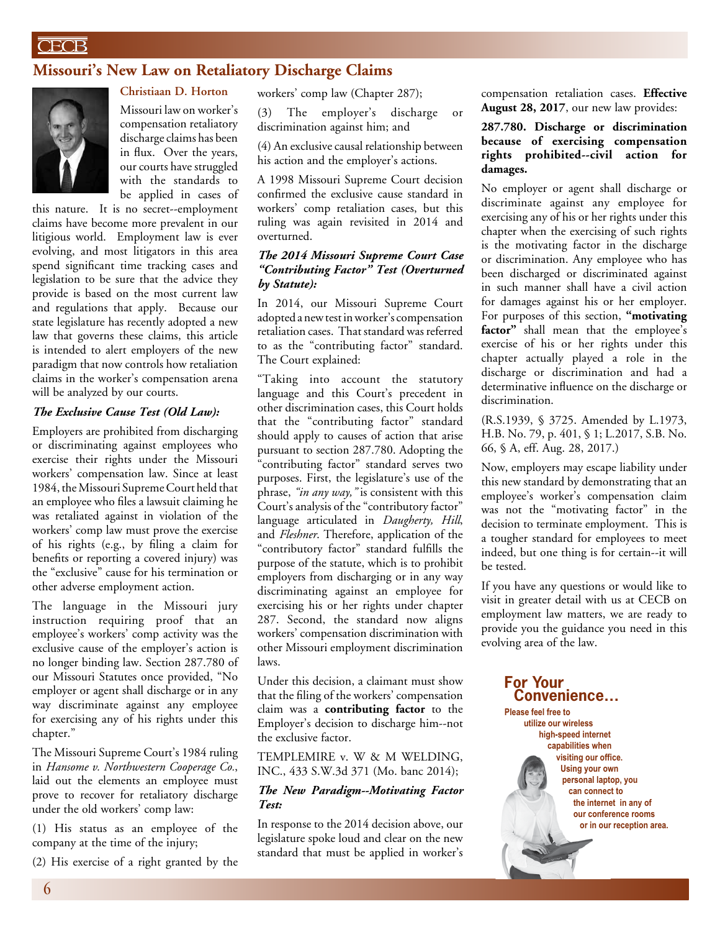## **CECB**

## **Missouri's New Law on Retaliatory Discharge Claims**



**Christiaan D. Horton** Missouri law on worker's compensation retaliatory discharge claims has been in flux. Over the years, our courts have struggled with the standards to be applied in cases of

this nature. It is no secret--employment claims have become more prevalent in our litigious world. Employment law is ever evolving, and most litigators in this area spend significant time tracking cases and legislation to be sure that the advice they provide is based on the most current law and regulations that apply. Because our state legislature has recently adopted a new law that governs these claims, this article is intended to alert employers of the new paradigm that now controls how retaliation claims in the worker's compensation arena will be analyzed by our courts.

#### *The Exclusive Cause Test (Old Law):*

Employers are prohibited from discharging or discriminating against employees who exercise their rights under the Missouri workers' compensation law. Since at least 1984, the Missouri Supreme Court held that an employee who files a lawsuit claiming he was retaliated against in violation of the workers' comp law must prove the exercise of his rights (e.g., by filing a claim for benefits or reporting a covered injury) was the "exclusive" cause for his termination or other adverse employment action.

The language in the Missouri jury instruction requiring proof that an employee's workers' comp activity was the exclusive cause of the employer's action is no longer binding law. Section 287.780 of our Missouri Statutes once provided, "No employer or agent shall discharge or in any way discriminate against any employee for exercising any of his rights under this chapter."

The Missouri Supreme Court's 1984 ruling in *Hansome v. Northwestern Cooperage Co.*, laid out the elements an employee must prove to recover for retaliatory discharge under the old workers' comp law:

(1) His status as an employee of the company at the time of the injury;

(2) His exercise of a right granted by the

workers' comp law (Chapter 287);

(3) The employer's discharge or discrimination against him; and

(4) An exclusive causal relationship between his action and the employer's actions.

A 1998 Missouri Supreme Court decision confirmed the exclusive cause standard in workers' comp retaliation cases, but this ruling was again revisited in 2014 and overturned.

### *The 2014 Missouri Supreme Court Case "Contributing Factor" Test (Overturned by Statute):*

In 2014, our Missouri Supreme Court adopted a new test in worker's compensation retaliation cases. That standard was referred to as the "contributing factor" standard. The Court explained:

"Taking into account the statutory language and this Court's precedent in other discrimination cases, this Court holds that the "contributing factor" standard should apply to causes of action that arise pursuant to section 287.780. Adopting the "contributing factor" standard serves two purposes. First, the legislature's use of the phrase, *"in any way,"* is consistent with this Court's analysis of the "contributory factor" language articulated in *Daugherty, Hill*, and *Fleshner*. Therefore, application of the "contributory factor" standard fulfills the purpose of the statute, which is to prohibit employers from discharging or in any way discriminating against an employee for exercising his or her rights under chapter 287. Second, the standard now aligns workers' compensation discrimination with other Missouri employment discrimination laws.

Under this decision, a claimant must show that the filing of the workers' compensation claim was a **contributing factor** to the Employer's decision to discharge him--not the exclusive factor.

TEMPLEMIRE v. W & M WELDING, INC., 433 S.W.3d 371 (Mo. banc 2014);

### *The New Paradigm--Motivating Factor Test:*

In response to the 2014 decision above, our legislature spoke loud and clear on the new standard that must be applied in worker's

compensation retaliation cases. **Effective August 28, 2017**, our new law provides:

**287.780. Discharge or discrimination because of exercising compensation rights prohibited--civil action for damages.**

No employer or agent shall discharge or discriminate against any employee for exercising any of his or her rights under this chapter when the exercising of such rights is the motivating factor in the discharge or discrimination. Any employee who has been discharged or discriminated against in such manner shall have a civil action for damages against his or her employer. For purposes of this section, **"motivating**  factor" shall mean that the employee's exercise of his or her rights under this chapter actually played a role in the discharge or discrimination and had a determinative influence on the discharge or discrimination.

(R.S.1939, § 3725. Amended by L.1973, H.B. No. 79, p. 401, § 1; L.2017, S.B. No. 66, § A, eff. Aug. 28, 2017.)

Now, employers may escape liability under this new standard by demonstrating that an employee's worker's compensation claim was not the "motivating factor" in the decision to terminate employment. This is a tougher standard for employees to meet indeed, but one thing is for certain--it will be tested.

If you have any questions or would like to visit in greater detail with us at CECB on employment law matters, we are ready to provide you the guidance you need in this evolving area of the law.

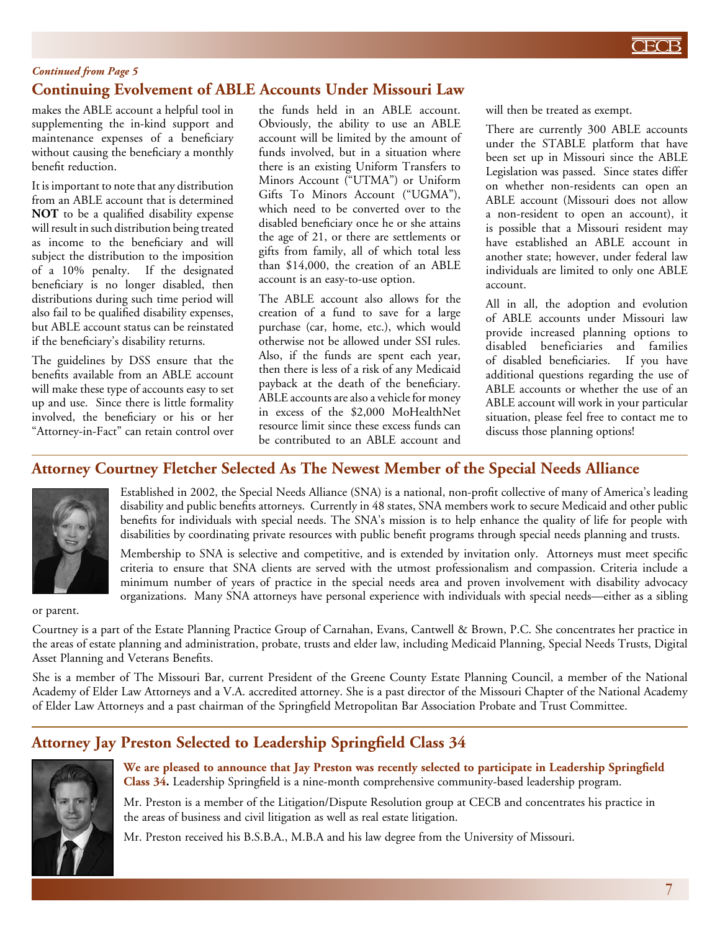

### *Continued from Page 5*

# **Continuing Evolvement of ABLE Accounts Under Missouri Law**

makes the ABLE account a helpful tool in supplementing the in-kind support and maintenance expenses of a beneficiary without causing the beneficiary a monthly benefit reduction.

It is important to note that any distribution from an ABLE account that is determined **NOT** to be a qualified disability expense will result in such distribution being treated as income to the beneficiary and will subject the distribution to the imposition of a 10% penalty. If the designated beneficiary is no longer disabled, then distributions during such time period will also fail to be qualified disability expenses, but ABLE account status can be reinstated if the beneficiary's disability returns.

The guidelines by DSS ensure that the benefits available from an ABLE account will make these type of accounts easy to set up and use. Since there is little formality involved, the beneficiary or his or her "Attorney-in-Fact" can retain control over

the funds held in an ABLE account. Obviously, the ability to use an ABLE account will be limited by the amount of funds involved, but in a situation where there is an existing Uniform Transfers to Minors Account ("UTMA") or Uniform Gifts To Minors Account ("UGMA"), which need to be converted over to the disabled beneficiary once he or she attains the age of 21, or there are settlements or gifts from family, all of which total less than \$14,000, the creation of an ABLE account is an easy-to-use option.

The ABLE account also allows for the creation of a fund to save for a large purchase (car, home, etc.), which would otherwise not be allowed under SSI rules. Also, if the funds are spent each year, then there is less of a risk of any Medicaid payback at the death of the beneficiary. ABLE accounts are also a vehicle for money in excess of the \$2,000 MoHealthNet resource limit since these excess funds can be contributed to an ABLE account and will then be treated as exempt.

There are currently 300 ABLE accounts under the STABLE platform that have been set up in Missouri since the ABLE Legislation was passed. Since states differ on whether non-residents can open an ABLE account (Missouri does not allow a non-resident to open an account), it is possible that a Missouri resident may have established an ABLE account in another state; however, under federal law individuals are limited to only one ABLE account.

All in all, the adoption and evolution of ABLE accounts under Missouri law provide increased planning options to disabled beneficiaries and families of disabled beneficiaries. If you have additional questions regarding the use of ABLE accounts or whether the use of an ABLE account will work in your particular situation, please feel free to contact me to discuss those planning options!

# **Attorney Courtney Fletcher Selected As The Newest Member of the Special Needs Alliance**



Established in 2002, the Special Needs Alliance (SNA) is a national, non-profit collective of many of America's leading disability and public benefits attorneys. Currently in 48 states, SNA members work to secure Medicaid and other public benefits for individuals with special needs. The SNA's mission is to help enhance the quality of life for people with disabilities by coordinating private resources with public benefit programs through special needs planning and trusts.

Membership to SNA is selective and competitive, and is extended by invitation only. Attorneys must meet specific criteria to ensure that SNA clients are served with the utmost professionalism and compassion. Criteria include a minimum number of years of practice in the special needs area and proven involvement with disability advocacy organizations. Many SNA attorneys have personal experience with individuals with special needs—either as a sibling

or parent.

Courtney is a part of the Estate Planning Practice Group of Carnahan, Evans, Cantwell & Brown, P.C. She concentrates her practice in the areas of estate planning and administration, probate, trusts and elder law, including Medicaid Planning, Special Needs Trusts, Digital Asset Planning and Veterans Benefits.

She is a member of The Missouri Bar, current President of the Greene County Estate Planning Council, a member of the National Academy of Elder Law Attorneys and a V.A. accredited attorney. She is a past director of the Missouri Chapter of the National Academy of Elder Law Attorneys and a past chairman of the Springfield Metropolitan Bar Association Probate and Trust Committee.

# **Attorney Jay Preston Selected to Leadership Springfield Class 34**



**We are pleased to announce that Jay Preston was recently selected to participate in Leadership Springfield Class 34.** Leadership Springfield is a nine-month comprehensive community-based leadership program.

Mr. Preston is a member of the Litigation/Dispute Resolution group at CECB and concentrates his practice in the areas of business and civil litigation as well as real estate litigation.

Mr. Preston received his B.S.B.A., M.B.A and his law degree from the University of Missouri.